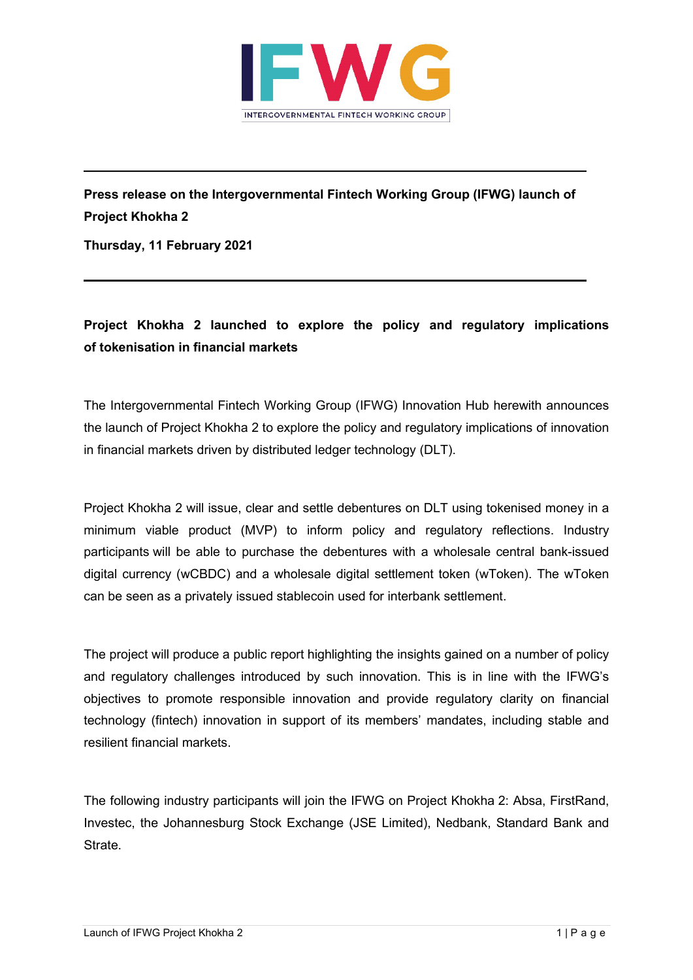

**Press release on the Intergovernmental Fintech Working Group (IFWG) launch of Project Khokha 2**

**Thursday, 11 February 2021**

## **Project Khokha 2 launched to explore the policy and regulatory implications of tokenisation in financial markets**

The Intergovernmental Fintech Working Group (IFWG) Innovation Hub herewith announces the launch of Project Khokha 2 to explore the policy and regulatory implications of innovation in financial markets driven by distributed ledger technology (DLT).

Project Khokha 2 will issue, clear and settle debentures on DLT using tokenised money in a minimum viable product (MVP) to inform policy and regulatory reflections. Industry participants will be able to purchase the debentures with a wholesale central bank-issued digital currency (wCBDC) and a wholesale digital settlement token (wToken). The wToken can be seen as a privately issued stablecoin used for interbank settlement.

The project will produce a public report highlighting the insights gained on a number of policy and regulatory challenges introduced by such innovation. This is in line with the IFWG's objectives to promote responsible innovation and provide regulatory clarity on financial technology (fintech) innovation in support of its members' mandates, including stable and resilient financial markets.

The following industry participants will join the IFWG on Project Khokha 2: Absa, FirstRand, Investec, the Johannesburg Stock Exchange (JSE Limited), Nedbank, Standard Bank and Strate.